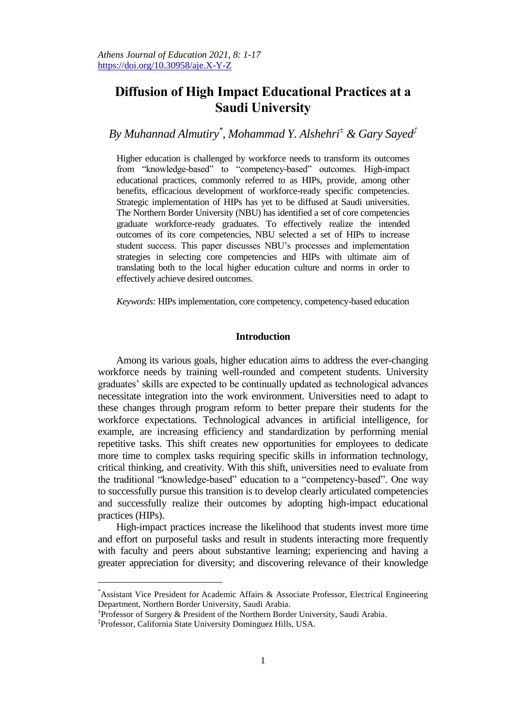# **Diffusion of High Impact Educational Practices at a Saudi University**

*By Muhannad Almutiry\* , Mohammad Y. Alshehri<sup>±</sup> & Gary Sayed‡*

Higher education is challenged by workforce needs to transform its outcomes from "knowledge-based" to "competency-based" outcomes. High-impact educational practices, commonly referred to as HIPs, provide, among other benefits, efficacious development of workforce-ready specific competencies. Strategic implementation of HIPs has yet to be diffused at Saudi universities. The Northern Border University (NBU) has identified a set of core competencies graduate workforce-ready graduates. To effectively realize the intended outcomes of its core competencies, NBU selected a set of HIPs to increase student success. This paper discusses NBU's processes and implementation strategies in selecting core competencies and HIPs with ultimate aim of translating both to the local higher education culture and norms in order to effectively achieve desired outcomes.

*Keywords:* HIPs implementation, core competency, competency-based education

## **Introduction**

Among its various goals, higher education aims to address the ever-changing workforce needs by training well-rounded and competent students. University graduates' skills are expected to be continually updated as technological advances necessitate integration into the work environment. Universities need to adapt to these changes through program reform to better prepare their students for the workforce expectations. Technological advances in artificial intelligence, for example, are increasing efficiency and standardization by performing menial repetitive tasks. This shift creates new opportunities for employees to dedicate more time to complex tasks requiring specific skills in information technology, critical thinking, and creativity. With this shift, universities need to evaluate from the traditional "knowledge-based" education to a "competency-based". One way to successfully pursue this transition is to develop clearly articulated competencies and successfully realize their outcomes by adopting high-impact educational practices (HIPs).

High-impact practices increase the likelihood that students invest more time and effort on purposeful tasks and result in students interacting more frequently with faculty and peers about substantive learning; experiencing and having a greater appreciation for diversity; and discovering relevance of their knowledge

 $\overline{a}$ 

<sup>\*</sup>Assistant Vice President for Academic Affairs & Associate Professor, Electrical Engineering Department, Northern Border University, Saudi Arabia.

<sup>±</sup> Professor of Surgery & President of the Northern Border University, Saudi Arabia.

<sup>‡</sup> Professor, California State University Dominguez Hills, USA.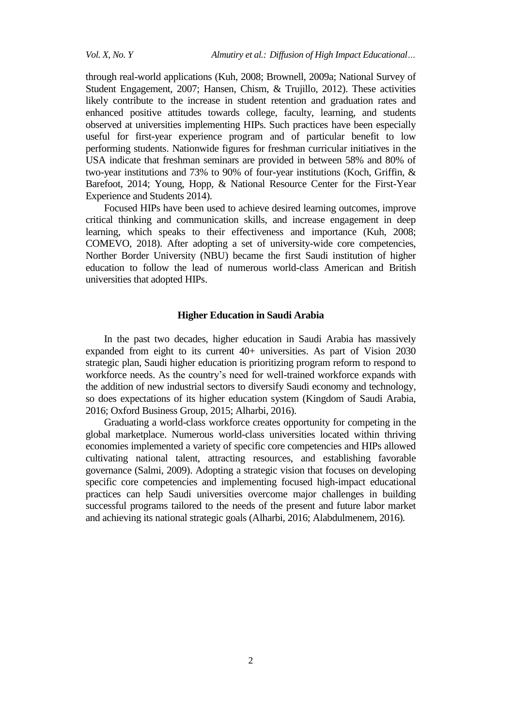through real-world applications (Kuh, 2008; Brownell, 2009a; National Survey of Student Engagement, 2007; Hansen, Chism, & Trujillo, 2012). These activities likely contribute to the increase in student retention and graduation rates and enhanced positive attitudes towards college, faculty, learning, and students observed at universities implementing HIPs. Such practices have been especially useful for first-year experience program and of particular benefit to low performing students. Nationwide figures for freshman curricular initiatives in the USA indicate that freshman seminars are provided in between 58% and 80% of two-year institutions and 73% to 90% of four-year institutions (Koch, Griffin, & Barefoot, 2014; Young, Hopp, & National Resource Center for the First-Year Experience and Students 2014).

Focused HIPs have been used to achieve desired learning outcomes, improve critical thinking and communication skills, and increase engagement in deep learning, which speaks to their effectiveness and importance (Kuh, 2008; COMEVO, 2018). After adopting a set of university-wide core competencies, Norther Border University (NBU) became the first Saudi institution of higher education to follow the lead of numerous world-class American and British universities that adopted HIPs.

# **Higher Education in Saudi Arabia**

In the past two decades, higher education in Saudi Arabia has massively expanded from eight to its current 40+ universities. As part of Vision 2030 strategic plan, Saudi higher education is prioritizing program reform to respond to workforce needs. As the country's need for well-trained workforce expands with the addition of new industrial sectors to diversify Saudi economy and technology, so does expectations of its higher education system (Kingdom of Saudi Arabia, 2016; Oxford Business Group, 2015; Alharbi, 2016).

Graduating a world-class workforce creates opportunity for competing in the global marketplace. Numerous world-class universities located within thriving economies implemented a variety of specific core competencies and HIPs allowed cultivating national talent, attracting resources, and establishing favorable governance (Salmi, 2009). Adopting a strategic vision that focuses on developing specific core competencies and implementing focused high-impact educational practices can help Saudi universities overcome major challenges in building successful programs tailored to the needs of the present and future labor market and achieving its national strategic goals (Alharbi, 2016; Alabdulmenem, 2016)*.*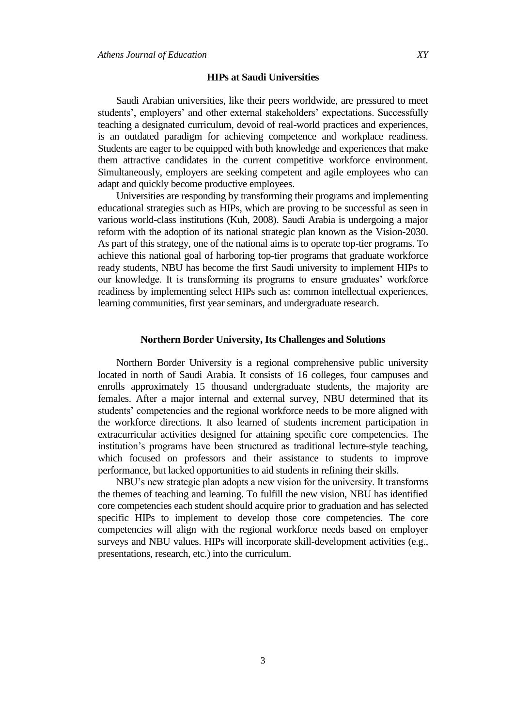#### **HIPs at Saudi Universities**

Saudi Arabian universities, like their peers worldwide, are pressured to meet students', employers' and other external stakeholders' expectations. Successfully teaching a designated curriculum, devoid of real-world practices and experiences, is an outdated paradigm for achieving competence and workplace readiness. Students are eager to be equipped with both knowledge and experiences that make them attractive candidates in the current competitive workforce environment. Simultaneously, employers are seeking competent and agile employees who can adapt and quickly become productive employees.

Universities are responding by transforming their programs and implementing educational strategies such as HIPs, which are proving to be successful as seen in various world-class institutions (Kuh, 2008). Saudi Arabia is undergoing a major reform with the adoption of its national strategic plan known as the Vision-2030. As part of this strategy, one of the national aims is to operate top-tier programs. To achieve this national goal of harboring top-tier programs that graduate workforce ready students, NBU has become the first Saudi university to implement HIPs to our knowledge. It is transforming its programs to ensure graduates' workforce readiness by implementing select HIPs such as: common intellectual experiences, learning communities, first year seminars, and undergraduate research.

## **Northern Border University, Its Challenges and Solutions**

Northern Border University is a regional comprehensive public university located in north of Saudi Arabia. It consists of 16 colleges, four campuses and enrolls approximately 15 thousand undergraduate students, the majority are females. After a major internal and external survey, NBU determined that its students' competencies and the regional workforce needs to be more aligned with the workforce directions. It also learned of students increment participation in extracurricular activities designed for attaining specific core competencies. The institution's programs have been structured as traditional lecture-style teaching, which focused on professors and their assistance to students to improve performance, but lacked opportunities to aid students in refining their skills.

NBU's new strategic plan adopts a new vision for the university. It transforms the themes of teaching and learning. To fulfill the new vision, NBU has identified core competencies each student should acquire prior to graduation and has selected specific HIPs to implement to develop those core competencies. The core competencies will align with the regional workforce needs based on employer surveys and NBU values. HIPs will incorporate skill-development activities (e.g., presentations, research, etc.) into the curriculum.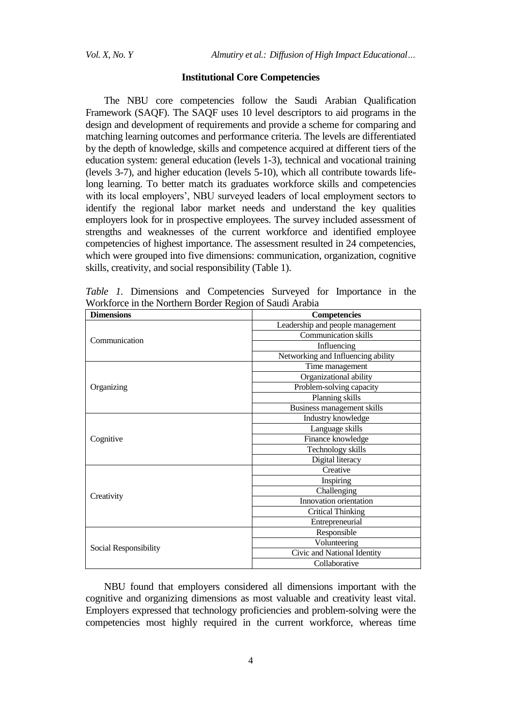#### **Institutional Core Competencies**

The NBU core competencies follow the Saudi Arabian Qualification Framework (SAQF). The SAQF uses 10 level descriptors to aid programs in the design and development of requirements and provide a scheme for comparing and matching learning outcomes and performance criteria. The levels are differentiated by the depth of knowledge, skills and competence acquired at different tiers of the education system: general education (levels 1-3), technical and vocational training (levels 3-7), and higher education (levels 5-10), which all contribute towards lifelong learning. To better match its graduates workforce skills and competencies with its local employers', NBU surveyed leaders of local employment sectors to identify the regional labor market needs and understand the key qualities employers look for in prospective employees. The survey included assessment of strengths and weaknesses of the current workforce and identified employee competencies of highest importance. The assessment resulted in 24 competencies, which were grouped into five dimensions: communication, organization, cognitive skills, creativity, and social responsibility (Table 1).

| $\bullet$ 1,01 then $\bullet$ 5 here: 1,10 group of $\sim$ then<br><b>Dimensions</b> | <b>Competencies</b>                |
|--------------------------------------------------------------------------------------|------------------------------------|
| Communication                                                                        | Leadership and people management   |
|                                                                                      | <b>Communication skills</b>        |
|                                                                                      | Influencing                        |
|                                                                                      | Networking and Influencing ability |
| Organizing                                                                           | Time management                    |
|                                                                                      | Organizational ability             |
|                                                                                      | Problem-solving capacity           |
|                                                                                      | Planning skills                    |
|                                                                                      | Business management skills         |
| Cognitive                                                                            | Industry knowledge                 |
|                                                                                      | Language skills                    |
|                                                                                      | Finance knowledge                  |
|                                                                                      | Technology skills                  |
|                                                                                      | Digital literacy                   |
| Creativity                                                                           | Creative                           |
|                                                                                      | Inspiring                          |
|                                                                                      | Challenging                        |
|                                                                                      | Innovation orientation             |
|                                                                                      | <b>Critical Thinking</b>           |
|                                                                                      | Entrepreneurial                    |
| Social Responsibility                                                                | Responsible                        |
|                                                                                      | Volunteering                       |
|                                                                                      | Civic and National Identity        |
|                                                                                      | Collaborative                      |

*Table 1.* Dimensions and Competencies Surveyed for Importance in the Workforce in the Northern Border Region of Saudi Arabia

NBU found that employers considered all dimensions important with the cognitive and organizing dimensions as most valuable and creativity least vital. Employers expressed that technology proficiencies and problem-solving were the competencies most highly required in the current workforce, whereas time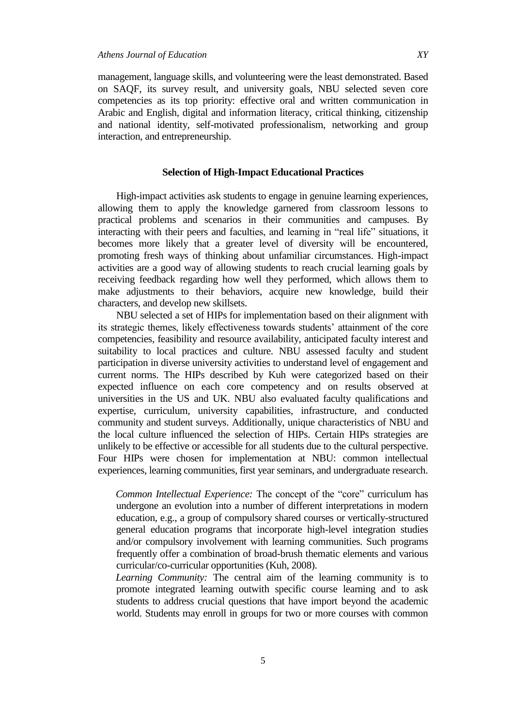management, language skills, and volunteering were the least demonstrated. Based on SAQF, its survey result, and university goals, NBU selected seven core competencies as its top priority: effective oral and written communication in Arabic and English, digital and information literacy, critical thinking, citizenship and national identity, self-motivated professionalism, networking and group interaction, and entrepreneurship.

# **Selection of High-Impact Educational Practices**

High-impact activities ask students to engage in genuine learning experiences, allowing them to apply the knowledge garnered from classroom lessons to practical problems and scenarios in their communities and campuses. By interacting with their peers and faculties, and learning in "real life" situations, it becomes more likely that a greater level of diversity will be encountered, promoting fresh ways of thinking about unfamiliar circumstances. High-impact activities are a good way of allowing students to reach crucial learning goals by receiving feedback regarding how well they performed, which allows them to make adjustments to their behaviors, acquire new knowledge, build their characters, and develop new skillsets.

NBU selected a set of HIPs for implementation based on their alignment with its strategic themes, likely effectiveness towards students' attainment of the core competencies, feasibility and resource availability, anticipated faculty interest and suitability to local practices and culture. NBU assessed faculty and student participation in diverse university activities to understand level of engagement and current norms. The HIPs described by Kuh were categorized based on their expected influence on each core competency and on results observed at universities in the US and UK. NBU also evaluated faculty qualifications and expertise, curriculum, university capabilities, infrastructure, and conducted community and student surveys. Additionally, unique characteristics of NBU and the local culture influenced the selection of HIPs. Certain HIPs strategies are unlikely to be effective or accessible for all students due to the cultural perspective. Four HIPs were chosen for implementation at NBU: common intellectual experiences, learning communities, first year seminars, and undergraduate research.

*Common Intellectual Experience:* The concept of the "core" curriculum has undergone an evolution into a number of different interpretations in modern education, e.g., a group of compulsory shared courses or vertically-structured general education programs that incorporate high-level integration studies and/or compulsory involvement with learning communities. Such programs frequently offer a combination of broad-brush thematic elements and various curricular/co-curricular opportunities (Kuh, 2008).

*Learning Community:* The central aim of the learning community is to promote integrated learning outwith specific course learning and to ask students to address crucial questions that have import beyond the academic world. Students may enroll in groups for two or more courses with common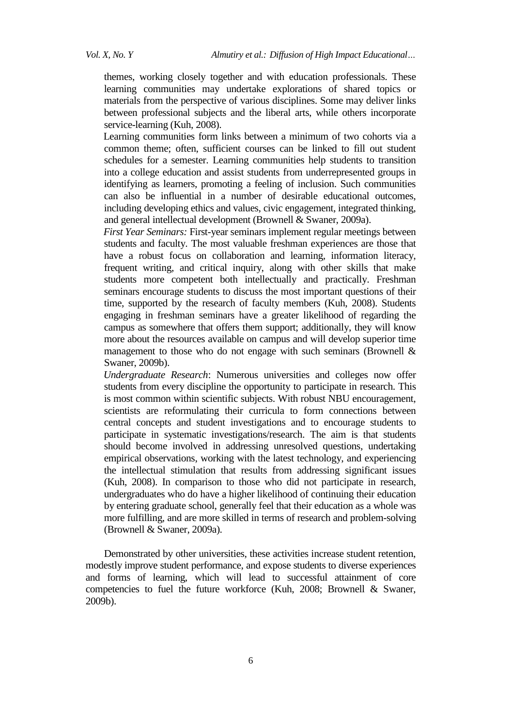themes, working closely together and with education professionals. These learning communities may undertake explorations of shared topics or materials from the perspective of various disciplines. Some may deliver links between professional subjects and the liberal arts, while others incorporate service-learning (Kuh, 2008).

Learning communities form links between a minimum of two cohorts via a common theme; often, sufficient courses can be linked to fill out student schedules for a semester. Learning communities help students to transition into a college education and assist students from underrepresented groups in identifying as learners, promoting a feeling of inclusion. Such communities can also be influential in a number of desirable educational outcomes, including developing ethics and values, civic engagement, integrated thinking, and general intellectual development (Brownell & Swaner, 2009a).

*First Year Seminars:* First-year seminars implement regular meetings between students and faculty. The most valuable freshman experiences are those that have a robust focus on collaboration and learning, information literacy, frequent writing, and critical inquiry, along with other skills that make students more competent both intellectually and practically. Freshman seminars encourage students to discuss the most important questions of their time, supported by the research of faculty members (Kuh, 2008). Students engaging in freshman seminars have a greater likelihood of regarding the campus as somewhere that offers them support; additionally, they will know more about the resources available on campus and will develop superior time management to those who do not engage with such seminars (Brownell  $\&$ Swaner, 2009b).

*Undergraduate Research*: Numerous universities and colleges now offer students from every discipline the opportunity to participate in research. This is most common within scientific subjects. With robust NBU encouragement, scientists are reformulating their curricula to form connections between central concepts and student investigations and to encourage students to participate in systematic investigations/research. The aim is that students should become involved in addressing unresolved questions, undertaking empirical observations, working with the latest technology, and experiencing the intellectual stimulation that results from addressing significant issues (Kuh, 2008). In comparison to those who did not participate in research, undergraduates who do have a higher likelihood of continuing their education by entering graduate school, generally feel that their education as a whole was more fulfilling, and are more skilled in terms of research and problem-solving (Brownell & Swaner, 2009a).

Demonstrated by other universities, these activities increase student retention, modestly improve student performance, and expose students to diverse experiences and forms of learning, which will lead to successful attainment of core competencies to fuel the future workforce (Kuh, 2008; Brownell  $\&$  Swaner, 2009b).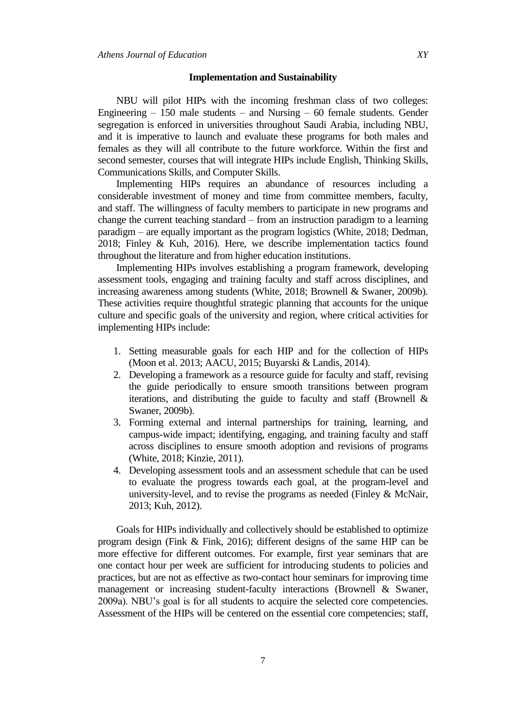# **Implementation and Sustainability**

NBU will pilot HIPs with the incoming freshman class of two colleges: Engineering  $-150$  male students  $-$  and Nursing  $-60$  female students. Gender segregation is enforced in universities throughout Saudi Arabia, including NBU, and it is imperative to launch and evaluate these programs for both males and females as they will all contribute to the future workforce. Within the first and second semester, courses that will integrate HIPs include English, Thinking Skills, Communications Skills, and Computer Skills.

Implementing HIPs requires an abundance of resources including a considerable investment of money and time from committee members, faculty, and staff. The willingness of faculty members to participate in new programs and change the current teaching standard – from an instruction paradigm to a learning paradigm – are equally important as the program logistics (White, 2018; Dedman, 2018; Finley & Kuh, 2016). Here, we describe implementation tactics found throughout the literature and from higher education institutions.

Implementing HIPs involves establishing a program framework, developing assessment tools, engaging and training faculty and staff across disciplines, and increasing awareness among students (White, 2018; Brownell & Swaner, 2009b). These activities require thoughtful strategic planning that accounts for the unique culture and specific goals of the university and region, where critical activities for implementing HIPs include:

- 1. Setting measurable goals for each HIP and for the collection of HIPs (Moon et al. 2013; AACU, 2015; Buyarski & Landis, 2014).
- 2. Developing a framework as a resource guide for faculty and staff, revising the guide periodically to ensure smooth transitions between program iterations, and distributing the guide to faculty and staff (Brownell & Swaner, 2009b).
- 3. Forming external and internal partnerships for training, learning, and campus-wide impact; identifying, engaging, and training faculty and staff across disciplines to ensure smooth adoption and revisions of programs (White, 2018; Kinzie, 2011).
- 4. Developing assessment tools and an assessment schedule that can be used to evaluate the progress towards each goal, at the program-level and university-level, and to revise the programs as needed (Finley & McNair, 2013; Kuh, 2012).

Goals for HIPs individually and collectively should be established to optimize program design (Fink & Fink, 2016); different designs of the same HIP can be more effective for different outcomes. For example, first year seminars that are one contact hour per week are sufficient for introducing students to policies and practices, but are not as effective as two-contact hour seminars for improving time management or increasing student-faculty interactions (Brownell & Swaner, 2009a). NBU's goal is for all students to acquire the selected core competencies. Assessment of the HIPs will be centered on the essential core competencies; staff,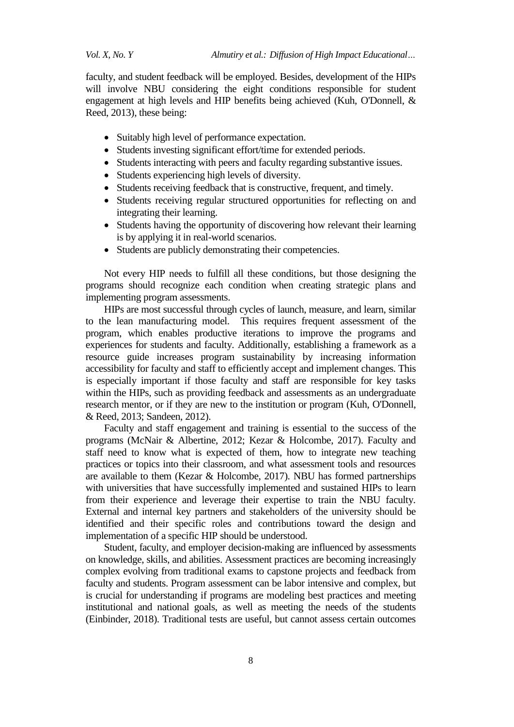*Vol. X, No. Y Almutiry et al.: Diffusion of High Impact Educational…*

faculty, and student feedback will be employed. Besides, development of the HIPs will involve NBU considering the eight conditions responsible for student engagement at high levels and HIP benefits being achieved (Kuh, O'Donnell, & Reed, 2013), these being:

- Suitably high level of performance expectation.
- Students investing significant effort/time for extended periods.
- Students interacting with peers and faculty regarding substantive issues.
- Students experiencing high levels of diversity.
- Students receiving feedback that is constructive, frequent, and timely.
- Students receiving regular structured opportunities for reflecting on and integrating their learning.
- Students having the opportunity of discovering how relevant their learning is by applying it in real-world scenarios.
- Students are publicly demonstrating their competencies.

Not every HIP needs to fulfill all these conditions, but those designing the programs should recognize each condition when creating strategic plans and implementing program assessments.

HIPs are most successful through cycles of launch, measure, and learn, similar to the lean manufacturing model. This requires frequent assessment of the program, which enables productive iterations to improve the programs and experiences for students and faculty. Additionally, establishing a framework as a resource guide increases program sustainability by increasing information accessibility for faculty and staff to efficiently accept and implement changes. This is especially important if those faculty and staff are responsible for key tasks within the HIPs, such as providing feedback and assessments as an undergraduate research mentor, or if they are new to the institution or program (Kuh, O'Donnell, & Reed, 2013; Sandeen, 2012).

Faculty and staff engagement and training is essential to the success of the programs (McNair & Albertine, 2012; Kezar & Holcombe, 2017). Faculty and staff need to know what is expected of them, how to integrate new teaching practices or topics into their classroom, and what assessment tools and resources are available to them (Kezar & Holcombe, 2017). NBU has formed partnerships with universities that have successfully implemented and sustained HIPs to learn from their experience and leverage their expertise to train the NBU faculty. External and internal key partners and stakeholders of the university should be identified and their specific roles and contributions toward the design and implementation of a specific HIP should be understood.

Student, faculty, and employer decision-making are influenced by assessments on knowledge, skills, and abilities. Assessment practices are becoming increasingly complex evolving from traditional exams to capstone projects and feedback from faculty and students. Program assessment can be labor intensive and complex, but is crucial for understanding if programs are modeling best practices and meeting institutional and national goals, as well as meeting the needs of the students (Einbinder, 2018). Traditional tests are useful, but cannot assess certain outcomes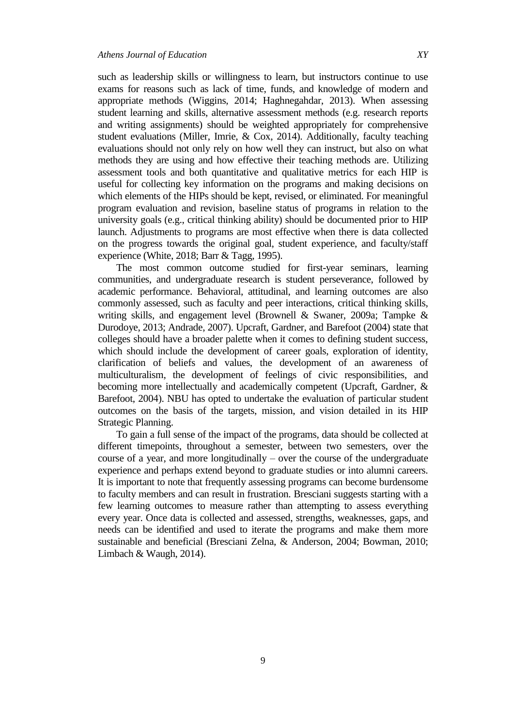such as leadership skills or willingness to learn, but instructors continue to use exams for reasons such as lack of time, funds, and knowledge of modern and appropriate methods (Wiggins, 2014; Haghnegahdar, 2013). When assessing student learning and skills, alternative assessment methods (e.g. research reports and writing assignments) should be weighted appropriately for comprehensive student evaluations (Miller, Imrie, & Cox, 2014). Additionally, faculty teaching evaluations should not only rely on how well they can instruct, but also on what methods they are using and how effective their teaching methods are. Utilizing assessment tools and both quantitative and qualitative metrics for each HIP is useful for collecting key information on the programs and making decisions on which elements of the HIPs should be kept, revised, or eliminated. For meaningful program evaluation and revision, baseline status of programs in relation to the university goals (e.g., critical thinking ability) should be documented prior to HIP launch. Adjustments to programs are most effective when there is data collected on the progress towards the original goal, student experience, and faculty/staff experience (White, 2018; Barr & Tagg, 1995).

The most common outcome studied for first-year seminars, learning communities, and undergraduate research is student perseverance, followed by academic performance. Behavioral, attitudinal, and learning outcomes are also commonly assessed, such as faculty and peer interactions, critical thinking skills, writing skills, and engagement level (Brownell & Swaner, 2009a; Tampke & Durodoye, 2013; Andrade, 2007). Upcraft, Gardner, and Barefoot (2004) state that colleges should have a broader palette when it comes to defining student success, which should include the development of career goals, exploration of identity, clarification of beliefs and values, the development of an awareness of multiculturalism, the development of feelings of civic responsibilities, and becoming more intellectually and academically competent (Upcraft, Gardner, & Barefoot, 2004). NBU has opted to undertake the evaluation of particular student outcomes on the basis of the targets, mission, and vision detailed in its HIP Strategic Planning.

To gain a full sense of the impact of the programs, data should be collected at different timepoints, throughout a semester, between two semesters, over the course of a year, and more longitudinally – over the course of the undergraduate experience and perhaps extend beyond to graduate studies or into alumni careers. It is important to note that frequently assessing programs can become burdensome to faculty members and can result in frustration. Bresciani suggests starting with a few learning outcomes to measure rather than attempting to assess everything every year. Once data is collected and assessed, strengths, weaknesses, gaps, and needs can be identified and used to iterate the programs and make them more sustainable and beneficial (Bresciani Zelna, & Anderson, 2004; Bowman, 2010; Limbach & Waugh, 2014).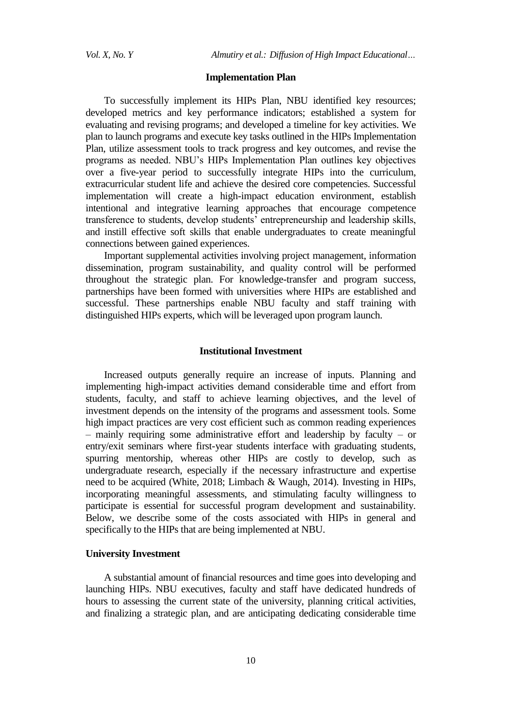#### **Implementation Plan**

To successfully implement its HIPs Plan, NBU identified key resources; developed metrics and key performance indicators; established a system for evaluating and revising programs; and developed a timeline for key activities. We plan to launch programs and execute key tasks outlined in the HIPs Implementation Plan, utilize assessment tools to track progress and key outcomes, and revise the programs as needed. NBU's HIPs Implementation Plan outlines key objectives over a five-year period to successfully integrate HIPs into the curriculum, extracurricular student life and achieve the desired core competencies. Successful implementation will create a high-impact education environment, establish intentional and integrative learning approaches that encourage competence transference to students, develop students' entrepreneurship and leadership skills, and instill effective soft skills that enable undergraduates to create meaningful connections between gained experiences.

Important supplemental activities involving project management, information dissemination, program sustainability, and quality control will be performed throughout the strategic plan. For knowledge-transfer and program success, partnerships have been formed with universities where HIPs are established and successful. These partnerships enable NBU faculty and staff training with distinguished HIPs experts, which will be leveraged upon program launch.

#### **Institutional Investment**

Increased outputs generally require an increase of inputs. Planning and implementing high-impact activities demand considerable time and effort from students, faculty, and staff to achieve learning objectives, and the level of investment depends on the intensity of the programs and assessment tools. Some high impact practices are very cost efficient such as common reading experiences – mainly requiring some administrative effort and leadership by faculty – or entry/exit seminars where first-year students interface with graduating students, spurring mentorship, whereas other HIPs are costly to develop, such as undergraduate research, especially if the necessary infrastructure and expertise need to be acquired (White, 2018; Limbach & Waugh, 2014). Investing in HIPs, incorporating meaningful assessments, and stimulating faculty willingness to participate is essential for successful program development and sustainability. Below, we describe some of the costs associated with HIPs in general and specifically to the HIPs that are being implemented at NBU.

## **University Investment**

A substantial amount of financial resources and time goes into developing and launching HIPs. NBU executives, faculty and staff have dedicated hundreds of hours to assessing the current state of the university, planning critical activities, and finalizing a strategic plan, and are anticipating dedicating considerable time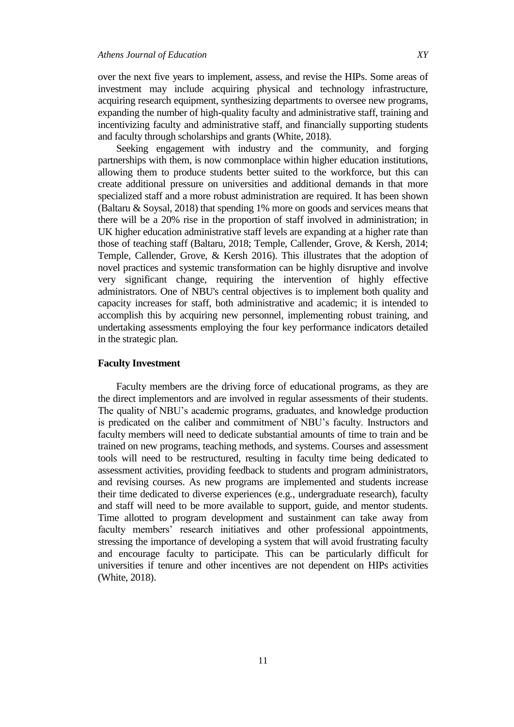over the next five years to implement, assess, and revise the HIPs. Some areas of investment may include acquiring physical and technology infrastructure, acquiring research equipment, synthesizing departments to oversee new programs, expanding the number of high-quality faculty and administrative staff, training and incentivizing faculty and administrative staff, and financially supporting students and faculty through scholarships and grants (White, 2018).

Seeking engagement with industry and the community, and forging partnerships with them, is now commonplace within higher education institutions, allowing them to produce students better suited to the workforce, but this can create additional pressure on universities and additional demands in that more specialized staff and a more robust administration are required. It has been shown (Baltaru & Soysal, 2018) that spending 1% more on goods and services means that there will be a 20% rise in the proportion of staff involved in administration; in UK higher education administrative staff levels are expanding at a higher rate than those of teaching staff (Baltaru, 2018; Temple, Callender, Grove, & Kersh, 2014; Temple, Callender, Grove, & Kersh 2016). This illustrates that the adoption of novel practices and systemic transformation can be highly disruptive and involve very significant change, requiring the intervention of highly effective administrators. One of NBU's central objectives is to implement both quality and capacity increases for staff, both administrative and academic; it is intended to accomplish this by acquiring new personnel, implementing robust training, and undertaking assessments employing the four key performance indicators detailed in the strategic plan.

## **Faculty Investment**

Faculty members are the driving force of educational programs, as they are the direct implementors and are involved in regular assessments of their students. The quality of NBU's academic programs, graduates, and knowledge production is predicated on the caliber and commitment of NBU's faculty. Instructors and faculty members will need to dedicate substantial amounts of time to train and be trained on new programs, teaching methods, and systems. Courses and assessment tools will need to be restructured, resulting in faculty time being dedicated to assessment activities, providing feedback to students and program administrators, and revising courses. As new programs are implemented and students increase their time dedicated to diverse experiences (e.g., undergraduate research), faculty and staff will need to be more available to support, guide, and mentor students. Time allotted to program development and sustainment can take away from faculty members' research initiatives and other professional appointments, stressing the importance of developing a system that will avoid frustrating faculty and encourage faculty to participate. This can be particularly difficult for universities if tenure and other incentives are not dependent on HIPs activities (White, 2018).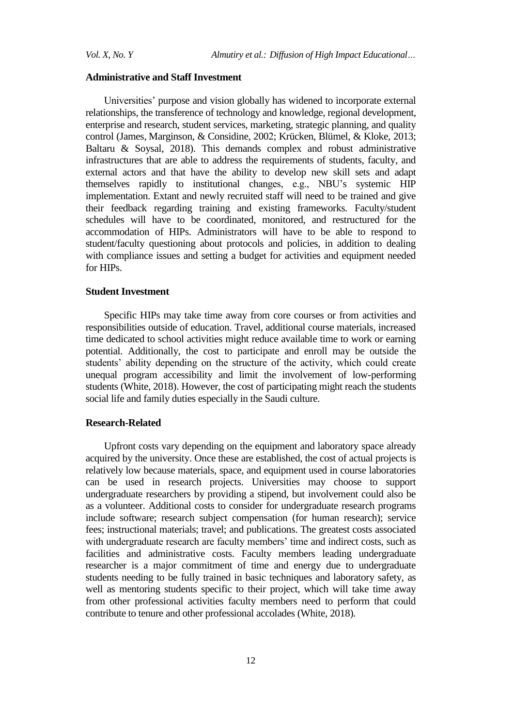# **Administrative and Staff Investment**

Universities' purpose and vision globally has widened to incorporate external relationships, the transference of technology and knowledge, regional development, enterprise and research, student services, marketing, strategic planning, and quality control (James, Marginson, & Considine, 2002; Krücken, Blümel, & Kloke, 2013; Baltaru & Soysal, 2018). This demands complex and robust administrative infrastructures that are able to address the requirements of students, faculty, and external actors and that have the ability to develop new skill sets and adapt themselves rapidly to institutional changes, e.g., NBU's systemic HIP implementation. Extant and newly recruited staff will need to be trained and give their feedback regarding training and existing frameworks. Faculty/student schedules will have to be coordinated, monitored, and restructured for the accommodation of HIPs. Administrators will have to be able to respond to student/faculty questioning about protocols and policies, in addition to dealing with compliance issues and setting a budget for activities and equipment needed for HIPs.

## **Student Investment**

Specific HIPs may take time away from core courses or from activities and responsibilities outside of education. Travel, additional course materials, increased time dedicated to school activities might reduce available time to work or earning potential. Additionally, the cost to participate and enroll may be outside the students' ability depending on the structure of the activity, which could create unequal program accessibility and limit the involvement of low-performing students (White, 2018). However, the cost of participating might reach the students social life and family duties especially in the Saudi culture.

# **Research-Related**

Upfront costs vary depending on the equipment and laboratory space already acquired by the university. Once these are established, the cost of actual projects is relatively low because materials, space, and equipment used in course laboratories can be used in research projects. Universities may choose to support undergraduate researchers by providing a stipend, but involvement could also be as a volunteer. Additional costs to consider for undergraduate research programs include software; research subject compensation (for human research); service fees; instructional materials; travel; and publications. The greatest costs associated with undergraduate research are faculty members' time and indirect costs, such as facilities and administrative costs. Faculty members leading undergraduate researcher is a major commitment of time and energy due to undergraduate students needing to be fully trained in basic techniques and laboratory safety, as well as mentoring students specific to their project, which will take time away from other professional activities faculty members need to perform that could contribute to tenure and other professional accolades (White, 2018).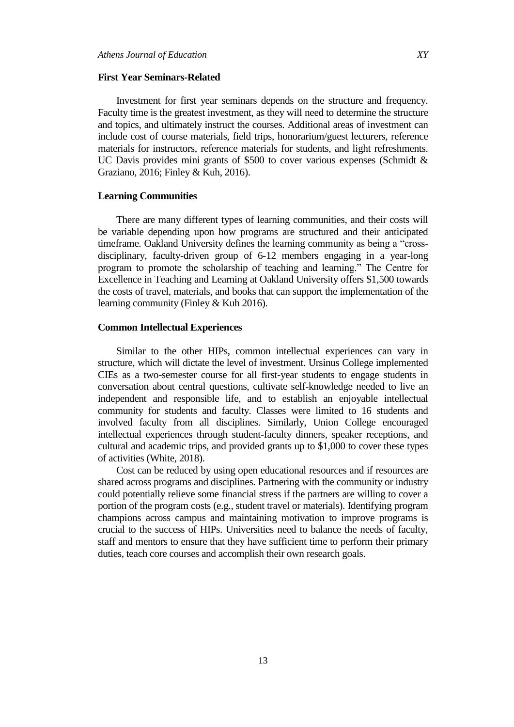## **First Year Seminars-Related**

Investment for first year seminars depends on the structure and frequency. Faculty time is the greatest investment, as they will need to determine the structure and topics, and ultimately instruct the courses. Additional areas of investment can include cost of course materials, field trips, honorarium/guest lecturers, reference materials for instructors, reference materials for students, and light refreshments. UC Davis provides mini grants of \$500 to cover various expenses (Schmidt & Graziano, 2016; Finley & Kuh, 2016).

# **Learning Communities**

There are many different types of learning communities, and their costs will be variable depending upon how programs are structured and their anticipated timeframe. Oakland University defines the learning community as being a "crossdisciplinary, faculty-driven group of 6-12 members engaging in a year-long program to promote the scholarship of teaching and learning." The Centre for Excellence in Teaching and Learning at Oakland University offers \$1,500 towards the costs of travel, materials, and books that can support the implementation of the learning community (Finley & Kuh 2016).

# **Common Intellectual Experiences**

Similar to the other HIPs, common intellectual experiences can vary in structure, which will dictate the level of investment. Ursinus College implemented CIEs as a two-semester course for all first-year students to engage students in conversation about central questions, cultivate self-knowledge needed to live an independent and responsible life, and to establish an enjoyable intellectual community for students and faculty. Classes were limited to 16 students and involved faculty from all disciplines. Similarly, Union College encouraged intellectual experiences through student-faculty dinners, speaker receptions, and cultural and academic trips, and provided grants up to \$1,000 to cover these types of activities (White, 2018).

Cost can be reduced by using open educational resources and if resources are shared across programs and disciplines. Partnering with the community or industry could potentially relieve some financial stress if the partners are willing to cover a portion of the program costs (e.g., student travel or materials). Identifying program champions across campus and maintaining motivation to improve programs is crucial to the success of HIPs. Universities need to balance the needs of faculty, staff and mentors to ensure that they have sufficient time to perform their primary duties, teach core courses and accomplish their own research goals.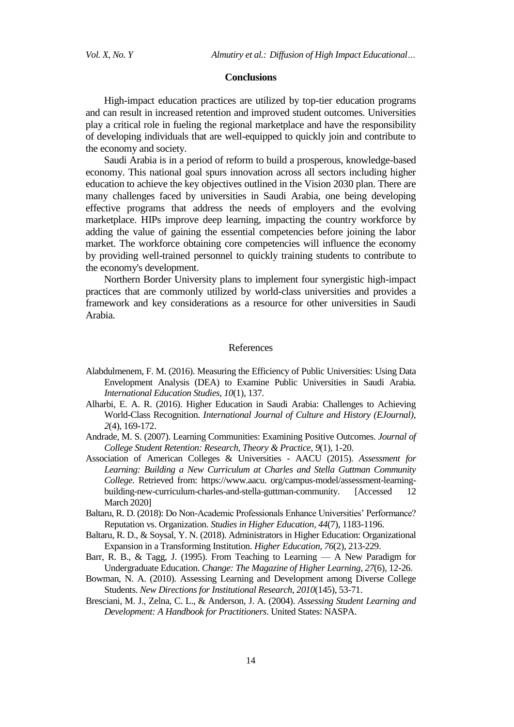#### **Conclusions**

High-impact education practices are utilized by top-tier education programs and can result in increased retention and improved student outcomes. Universities play a critical role in fueling the regional marketplace and have the responsibility of developing individuals that are well-equipped to quickly join and contribute to the economy and society.

Saudi Arabia is in a period of reform to build a prosperous, knowledge-based economy. This national goal spurs innovation across all sectors including higher education to achieve the key objectives outlined in the Vision 2030 plan. There are many challenges faced by universities in Saudi Arabia, one being developing effective programs that address the needs of employers and the evolving marketplace. HIPs improve deep learning, impacting the country workforce by adding the value of gaining the essential competencies before joining the labor market. The workforce obtaining core competencies will influence the economy by providing well-trained personnel to quickly training students to contribute to the economy's development.

Northern Border University plans to implement four synergistic high-impact practices that are commonly utilized by world-class universities and provides a framework and key considerations as a resource for other universities in Saudi Arabia.

#### References

- Alabdulmenem, F. M. (2016). Measuring the Efficiency of Public Universities: Using Data Envelopment Analysis (DEA) to Examine Public Universities in Saudi Arabia. *International Education Studies*, *10*(1), 137.
- Alharbi, E. A. R. (2016). Higher Education in Saudi Arabia: Challenges to Achieving World-Class Recognition. *International Journal of Culture and History (EJournal)*, *2*(4), 169-172.
- Andrade, M. S. (2007). Learning Communities: Examining Positive Outcomes. *Journal of College Student Retention: Research, Theory & Practice*, *9*(1), 1-20.
- Association of American Colleges & Universities AACU (2015). *Assessment for Learning: Building a New Curriculum at Charles and Stella Guttman Community College*. Retrieved from: https://www.aacu. org/campus-model/assessment-learningbuilding-new-curriculum-charles-and-stella-guttman-community. [Accessed 12 March 2020]
- Baltaru, R. D. (2018): Do Non-Academic Professionals Enhance Universities' Performance? Reputation vs. Organization. *Studies in Higher Education*, *44*(7), 1183-1196.
- Baltaru, R. D., & Soysal, Y. N. (2018). Administrators in Higher Education: Organizational Expansion in a Transforming Institution. *Higher Education*, *76*(2), 213-229.
- Barr, R. B., & Tagg, J. (1995). From Teaching to Learning A New Paradigm for Undergraduate Education. *Change: The Magazine of Higher Learning*, *27*(6), 12-26.
- Bowman, N. A. (2010). Assessing Learning and Development among Diverse College Students. *New Directions for Institutional Research*, *2010*(145), 53-71.
- Bresciani, M. J., Zelna, C. L., & Anderson, J. A. (2004). *Assessing Student Learning and Development: A Handbook for Practitioners*. United States: NASPA.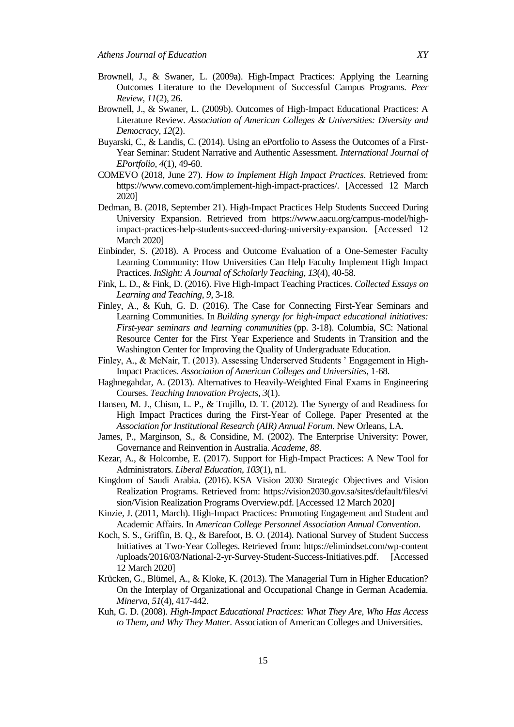- Brownell, J., & Swaner, L. (2009a). High-Impact Practices: Applying the Learning Outcomes Literature to the Development of Successful Campus Programs. *Peer Review*, *11*(2), 26.
- Brownell, J., & Swaner, L. (2009b). Outcomes of High-Impact Educational Practices: A Literature Review. *Association of American Colleges & Universities: Diversity and Democracy*, *12*(2).
- Buyarski, C., & Landis, C. (2014). Using an ePortfolio to Assess the Outcomes of a First-Year Seminar: Student Narrative and Authentic Assessment. *International Journal of EPortfolio*, *4*(1), 49-60.
- COMEVO (2018, June 27). *How to Implement High Impact Practices*. Retrieved from: [https://www.comevo.com/implement-high-impact-practices/.](https://www.comevo.com/implement-high-impact-practices/) [Accessed 12 March 2020]
- Dedman, B. (2018, September 21). High-Impact Practices Help Students Succeed During University Expansion. Retrieved from [https://www.aacu.org/campus-model/high](https://www.aacu.org/campus-model/high-impact-practices-help-students-succeed-during-university-expansion)[impact-practices-help-students-succeed-during-university-expansion.](https://www.aacu.org/campus-model/high-impact-practices-help-students-succeed-during-university-expansion) [Accessed 12 March 2020]
- Einbinder, S. (2018). A Process and Outcome Evaluation of a One-Semester Faculty Learning Community: How Universities Can Help Faculty Implement High Impact Practices. *InSight: A Journal of Scholarly Teaching*, *13*(4), 40-58.
- Fink, L. D., & Fink, D. (2016). Five High-Impact Teaching Practices. *Collected Essays on Learning and Teaching*, *9*, 3-18.
- Finley, A., & Kuh, G. D. (2016). The Case for Connecting First-Year Seminars and Learning Communities. In *Building synergy for high-impact educational initiatives: First-year seminars and learning communities* (pp. 3-18). Columbia, SC: National Resource Center for the First Year Experience and Students in Transition and the Washington Center for Improving the Quality of Undergraduate Education.
- Finley, A., & McNair, T. (2013). Assessing Underserved Students ' Engagement in High-Impact Practices. *Association of American Colleges and Universities*, 1-68.
- Haghnegahdar, A. (2013). Alternatives to Heavily-Weighted Final Exams in Engineering Courses. *Teaching Innovation Projects*, *3*(1).
- Hansen, M. J., Chism, L. P., & Trujillo, D. T. (2012). The Synergy of and Readiness for High Impact Practices during the First-Year of College. Paper Presented at the *Association for Institutional Research (AIR) Annual Forum*. New Orleans, LA.
- James, P., Marginson, S., & Considine, M. (2002). The Enterprise University: Power, Governance and Reinvention in Australia. *Academe*, *88*.
- Kezar, A., & Holcombe, E. (2017). Support for High-Impact Practices: A New Tool for Administrators. *Liberal Education*, *103*(1), n1.
- Kingdom of Saudi Arabia. (2016). KSA Vision 2030 Strategic Objectives and Vision Realization Programs. Retrieved from: https://vision2030.gov.sa/sites/default/files/vi sion/Vision Realization Programs Overview.pdf. [Accessed 12 March 2020]
- Kinzie, J. (2011, March). High-Impact Practices: Promoting Engagement and Student and Academic Affairs. In *American College Personnel Association Annual Convention*.
- Koch, S. S., Griffin, B. Q., & Barefoot, B. O. (2014). National Survey of Student Success Initiatives at Two-Year Colleges. Retrieved from: https://elimindset.com/wp-content /uploads/2016/03/National-2-yr-Survey-Student-Success-Initiatives.pdf. [Accessed 12 March 2020]
- Krücken, G., Blümel, A., & Kloke, K. (2013). The Managerial Turn in Higher Education? On the Interplay of Organizational and Occupational Change in German Academia. *Minerva*, *51*(4), 417-442.
- Kuh, G. D. (2008). *High-Impact Educational Practices: What They Are, Who Has Access to Them, and Why They Matter*. Association of American Colleges and Universities.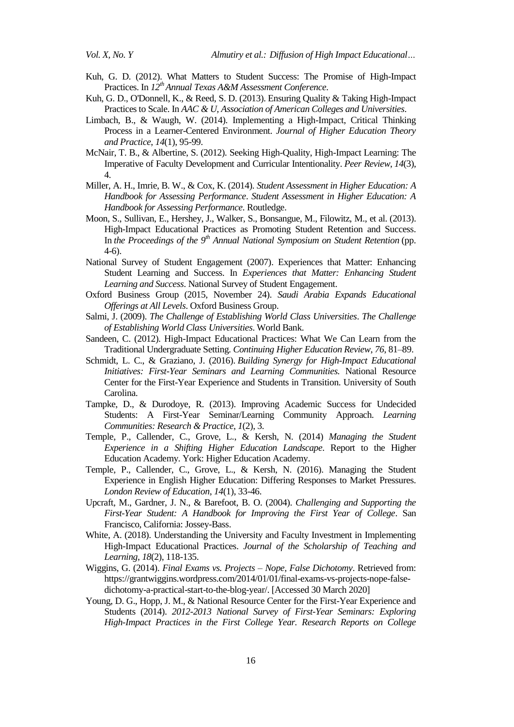- Kuh, G. D. (2012). What Matters to Student Success: The Promise of High-Impact Practices. In *12th Annual Texas A&M Assessment Conference*.
- Kuh, G. D., O'Donnell, K., & Reed, S. D. (2013). Ensuring Quality & Taking High-Impact Practices to Scale. In *AAC & U, Association of American Colleges and Universities*.
- Limbach, B., & Waugh, W. (2014). Implementing a High-Impact, Critical Thinking Process in a Learner-Centered Environment. *Journal of Higher Education Theory and Practice*, *14*(1), 95-99.
- McNair, T. B., & Albertine, S. (2012). Seeking High-Quality, High-Impact Learning: The Imperative of Faculty Development and Curricular Intentionality. *Peer Review*, *14*(3), 4.
- Miller, A. H., Imrie, B. W., & Cox, K. (2014). *Student Assessment in Higher Education: A Handbook for Assessing Performance*. *Student Assessment in Higher Education: A Handbook for Assessing Performance*. Routledge.
- Moon, S., Sullivan, E., Hershey, J., Walker, S., Bonsangue, M., Filowitz, M., et al. (2013). High-Impact Educational Practices as Promoting Student Retention and Success. In *the Proceedings of the 9th Annual National Symposium on Student Retention* (pp. 4-6).
- National Survey of Student Engagement (2007). Experiences that Matter: Enhancing Student Learning and Success. In *Experiences that Matter: Enhancing Student Learning and Success*. National Survey of Student Engagement.
- Oxford Business Group (2015, November 24). *Saudi Arabia Expands Educational Offerings at All Levels*. Oxford Business Group.
- Salmi, J. (2009). *The Challenge of Establishing World Class Universities*. *The Challenge of Establishing World Class Universities*. World Bank.
- Sandeen, C. (2012). High-Impact Educational Practices: What We Can Learn from the Traditional Undergraduate Setting. *Continuing Higher Education Review*, *76*, 81–89.
- Schmidt, L. C., & Graziano, J. (2016). *Building Synergy for High-Impact Educational Initiatives: First-Year Seminars and Learning Communities.* National Resource Center for the First-Year Experience and Students in Transition. University of South Carolina.
- Tampke, D., & Durodoye, R. (2013). Improving Academic Success for Undecided Students: A First-Year Seminar/Learning Community Approach. *Learning Communities: Research & Practice*, *1*(2), 3.
- Temple, P., Callender, C., Grove, L., & Kersh, N. (2014) *Managing the Student Experience in a Shifting Higher Education Landscape*. Report to the Higher Education Academy. York: Higher Education Academy.
- Temple, P., Callender, C., Grove, L., & Kersh, N. (2016). Managing the Student Experience in English Higher Education: Differing Responses to Market Pressures. *London Review of Education*, *14*(1), 33-46.
- Upcraft, M., Gardner, J. N., & Barefoot, B. O. (2004). *Challenging and Supporting the First-Year Student: A Handbook for Improving the First Year of College*. San Francisco, California: Jossey-Bass.
- White, A. (2018). Understanding the University and Faculty Investment in Implementing High-Impact Educational Practices. *Journal of the Scholarship of Teaching and Learning*, *18*(2), 118-135.
- Wiggins, G. (2014). *Final Exams vs. Projects – Nope, False Dichotomy*. Retrieved from: https://grantwiggins.wordpress.com/2014/01/01/final-exams-vs-projects-nope-falsedichotomy-a-practical-start-to-the-blog-year/. [Accessed 30 March 2020]
- Young, D. G., Hopp, J. M., & National Resource Center for the First-Year Experience and Students (2014). *2012-2013 National Survey of First-Year Seminars: Exploring High-Impact Practices in the First College Year. Research Reports on College*